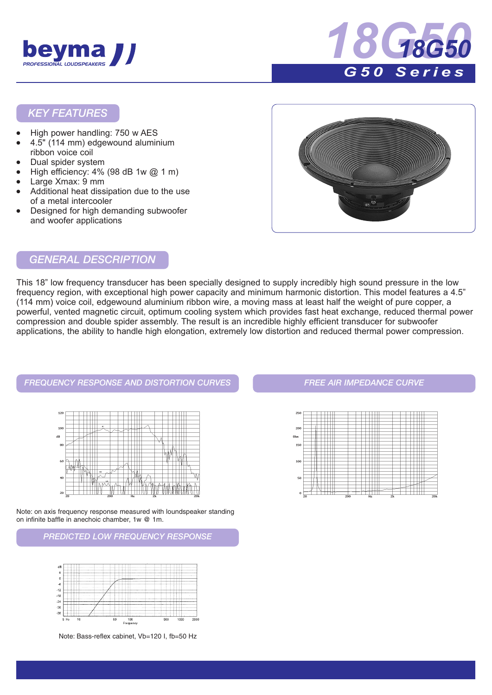



#### *KEY FEATURES*

- High power handling: 750 w AES
- 4.5" (114 mm) edgewound aluminium ribbon voice coil
- Dual spider system
- High efficiency: 4% (98 dB 1w @ 1 m)
- Large Xmax: 9 mm
- Additional heat dissipation due to the use of a metal intercooler
- Designed for high demanding subwoofer and woofer applications



#### *GENERAL DESCRIPTION*

This 18" low frequency transducer has been specially designed to supply incredibly high sound pressure in the low frequency region, with exceptional high power capacity and minimum harmonic distortion. This model features a 4.5" (114 mm) voice coil, edgewound aluminium ribbon wire, a moving mass at least half the weight of pure copper, a powerful, vented magnetic circuit, optimum cooling system which provides fast heat exchange, reduced thermal power compression and double spider assembly. The result is an incredible highly efficient transducer for subwoofer applications, the ability to handle high elongation, extremely low distortion and reduced thermal power compression.

*FREQUENCY RESPONSE AND DISTORTION CURVES FREE AIR IMPEDANCE CURVE*  $\overline{AB}$ 

Note: on axis frequency response measured with loundspeaker standing on infinite baffle in anechoic chamber, 1w @ 1m.

*PREDICTED LOW FREQUENCY RESPONSE*



Note: Bass-reflex cabinet, Vb=120 I, fb=50 Hz